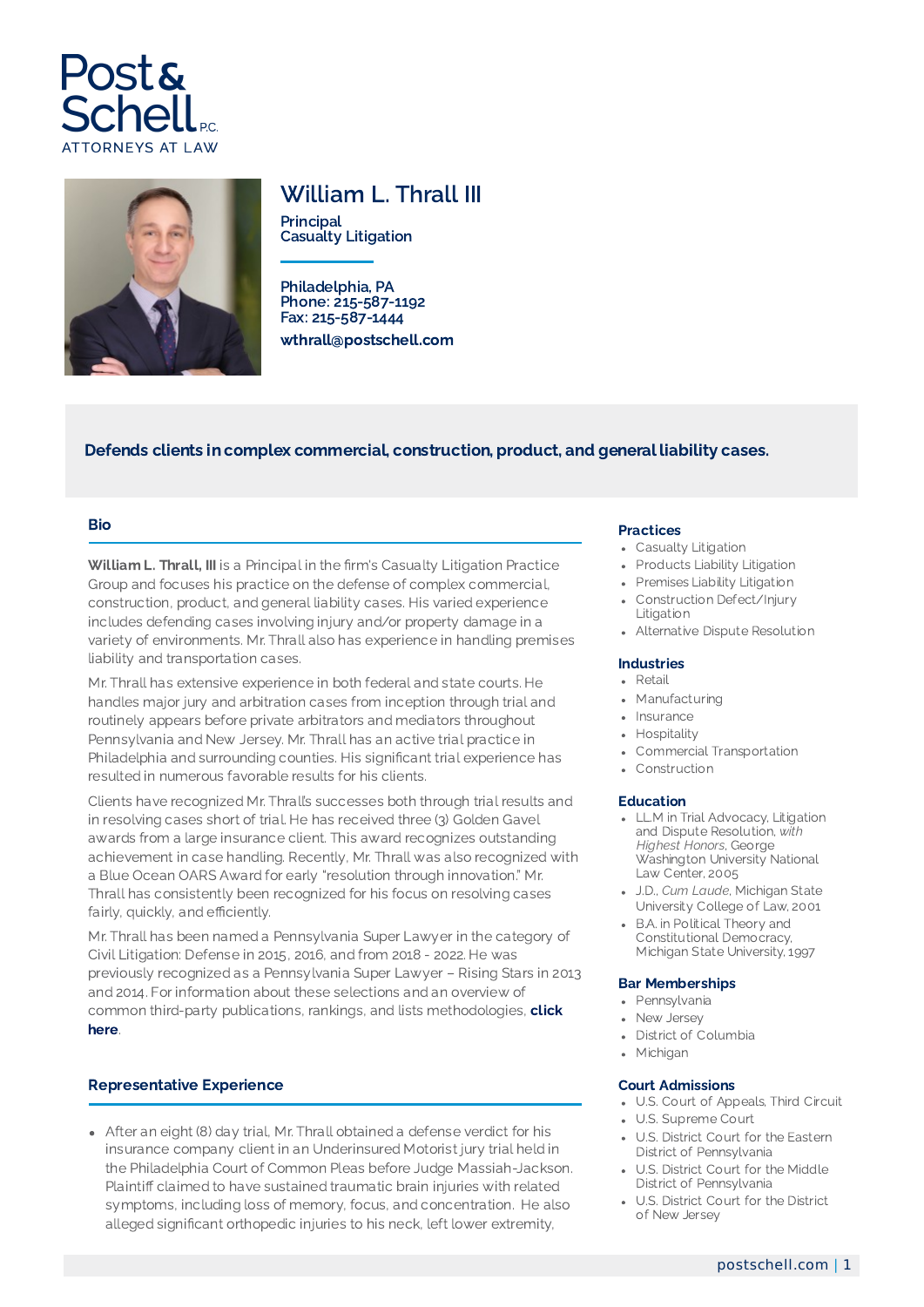



# William L. Thrall III

**Principal** Casualty Litigation

Philadelphia, PA Phone: 215-587-1192 Fax: 215-587-1444 wthrall@postschell.com

# Defends clients in complex commercial, construction, product, and general liability cases.

### Bio

William L. Thrall, III is a Principal in the firm's Casualty Litigation Practice Group and focuses his practice on the defense of complex commercial, construction, product, and general liability cases. His varied experience includes defending cases involving injury and/or property damage in a variety of environments. Mr. Thrall also has experience in handling premises liability and transportation cases.

Mr. Thrall has extensive experience in both federal and state courts. He handles major jury and arbitration cases from inception through trial and routinely appears before private arbitrators and mediators throughout Pennsylvania and New Jersey. Mr. Thrall has an active trial practice in Philadelphia and surrounding counties. His significant trial experience has resulted in numerous favorable results for his clients.

Clients have recognized Mr. Thrall's successes both through trial results and in resolving cases short of trial. He has received three (3) Golden Gavel awards from a large insurance client. This award recognizes outstanding achievement in case handling. Recently, Mr. Thrall was also recognized with a Blue Ocean OARS Award for early "resolution through innovation." Mr. Thrall has consistently been recognized for his focus on resolving cases fairly, quickly, and efficiently.

Mr. Thrall has been named a Pennsylvania Super Lawyer in the category of Civil Litigation: Defense in 2015, 2016, and from 2018 - 2022. He was previously recognized as a Pennsylvania Super Lawyer – Rising Stars in 2013 and 2014. For information about these selections and an overview of common third-party publications, rankings, and lists [methodologies,](https://www.postschell.com/info/disclaimer) click here.

## Representative Experience

After an eight (8) day trial, Mr. Thrall obtained a defense verdict for his insurance company client in an Underinsured Motorist jury trial held in the Philadelphia Court of Common Pleas before Judge Massiah-Jackson. Plaintiff claimed to have sustained traumatic brain injuries with related symptoms, including loss of memory, focus, and concentration. He also alleged significant orthopedic injuries to his neck, left lower extremity,

## Practices

- Casualty Litigation
- Products Liability Litigation
- Premises Liability Litigation
- Construction Defect/Injury Litigation
- Alternative Dispute Resolution

#### Industries

- Retail
- Manufacturing
- Insurance
- Hospitality
- Commercial Transportation
- Construction

#### Education

- LL.M in Trial Advocacy, Litigation and Dispute Resolution, *with Highest Honors*, George Washington University National Law Center, 2005
- J.D., *Cum Laude*, Michigan State University College of Law, 2001
- B.A. in Political Theory and Constitutional Democracy. Michigan State University, 1997

#### Bar Memberships

- Pennsylvania
- New Jersey
- District of Columbia
- Michigan

#### Court Admissions

- U.S. Court of Appeals, Third Circuit
- U.S. Supreme Court
- U.S. District Court for the Eastern District of Pennsylvania
- U.S. District Court for the Middle District of Pennsylvania
- U.S. District Court for the District of New Jersey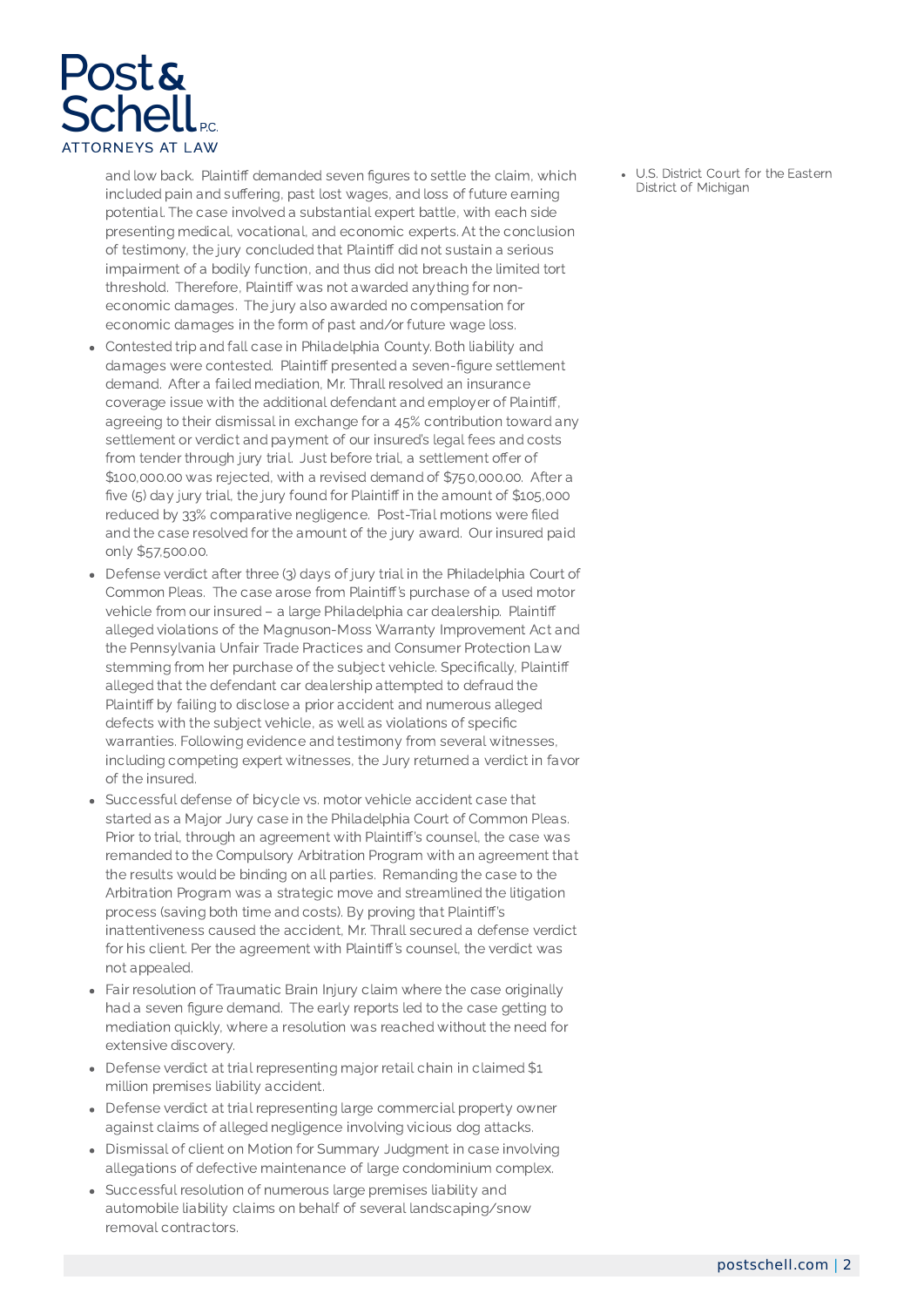

and low back. Plaintiff demanded seven figures to settle the claim, which included pain and suffering, past lost wages, and loss of future earning potential. The case involved a substantial expert battle, with each side presenting medical, vocational, and economic experts. At the conclusion of testimony, the jury concluded that Plaintiff did not sustain a serious impairment of a bodily function, and thus did not breach the limited tort threshold. Therefore, Plaintiff was not awarded anything for noneconomic damages. The jury also awarded no compensation for economic damages in the form of past and/or future wage loss.

- Contested trip and fall case in Philadelphia County. Both liability and damages were contested. Plaintiff presented a seven-figure settlement demand. After a failed mediation, Mr. Thrall resolved an insurance coverage issue with the additional defendant and employer of Plaintiff, agreeing to their dismissal in exchange for a 45% contribution toward any settlement or verdict and payment of our insured's legal fees and costs from tender through jury trial. Just before trial, a settlement offer of \$100,000.00 was rejected, with a revised demand of \$750,000.00. After a five (5) day jury trial, the jury found for Plaintiff in the amount of \$105,000 reduced by 33% comparative negligence. Post-Trial motions were filed and the case resolved for the amount of the jury award. Our insured paid only \$57,500.00.
- Defense verdict after three (3) days of jury trial in the Philadelphia Court of Common Pleas. The case arose from Plaintiff's purchase of a used motor vehicle from our insured – a large Philadelphia car dealership. Plaintiff alleged violations of the Magnuson-Moss Warranty Improvement Act and the Pennsylvania Unfair Trade Practices and Consumer Protection Law stemming from her purchase of the subject vehicle. Specifically, Plaintiff alleged that the defendant car dealership attempted to defraud the Plaintiff by failing to disclose a prior accident and numerous alleged defects with the subject vehicle, as well as violations of specific warranties. Following evidence and testimony from several witnesses, including competing expert witnesses, the Jury returned a verdict in favor of the insured.
- Successful defense of bicycle vs. motor vehicle accident case that started as a Major Jury case in the Philadelphia Court of Common Pleas. Prior to trial, through an agreement with Plaintiff's counsel, the case was remanded to the Compulsory Arbitration Program with an agreement that the results would be binding on all parties. Remanding the case to the Arbitration Program was a strategic move and streamlined the litigation process (saving both time and costs). By proving that Plaintiff's inattentiveness caused the accident, Mr. Thrall secured a defense verdict for his client. Per the agreement with Plaintiff's counsel, the verdict was not appealed.
- Fair resolution of Traumatic Brain Injury claim where the case originally had a seven figure demand. The early reports led to the case getting to mediation quickly, where a resolution was reached without the need for extensive discovery.
- Defense verdict at trial representing major retail chain in claimed \$1 million premises liability accident.
- Defense verdict at trial representing large commercial property owner against claims of alleged negligence involving vicious dog attacks.
- Dismissal of client on Motion for Summary Judgment in case involving allegations of defective maintenance of large condominium complex.
- Successful resolution of numerous large premises liability and automobile liability claims on behalf of several landscaping/snow removal contractors.

U.S. District Court for the Eastern District of Michigan